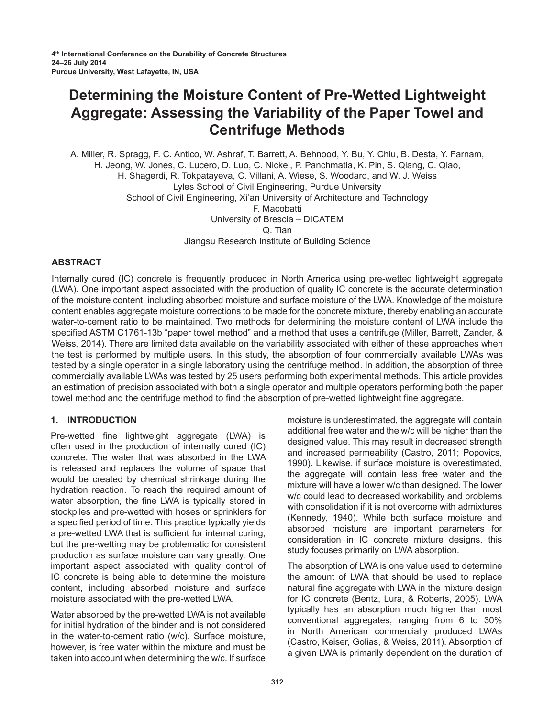# **Determining the Moisture Content of Pre-Wetted Lightweight Aggregate: Assessing the Variability of the Paper Towel and Centrifuge Methods**

A. Miller, R. Spragg, F. C. Antico, W. Ashraf, T. Barrett, A. Behnood, Y. Bu, Y. Chiu, B. Desta, Y. Farnam, H. Jeong, W. Jones, C. Lucero, D. Luo, C. Nickel, P. Panchmatia, K. Pin, S. Qiang, C. Qiao, H. Shagerdi, R. Tokpatayeva, C. Villani, A. Wiese, S. Woodard, and W. J. Weiss Lyles School of Civil Engineering, Purdue University School of Civil Engineering, Xi'an University of Architecture and Technology F. Macobatti University of Brescia – DICATEM Q. Tian Jiangsu Research Institute of Building Science

## **ABSTRACT**

Internally cured (IC) concrete is frequently produced in North America using pre-wetted lightweight aggregate (LWA). One important aspect associated with the production of quality IC concrete is the accurate determination of the moisture content, including absorbed moisture and surface moisture of the LWA. Knowledge of the moisture content enables aggregate moisture corrections to be made for the concrete mixture, thereby enabling an accurate water-to-cement ratio to be maintained. Two methods for determining the moisture content of LWA include the specified ASTM C1761-13b "paper towel method" and a method that uses a centrifuge (Miller, Barrett, Zander, & Weiss*,* 2014). There are limited data available on the variability associated with either of these approaches when the test is performed by multiple users. In this study, the absorption of four commercially available LWAs was tested by a single operator in a single laboratory using the centrifuge method. In addition, the absorption of three commercially available LWAs was tested by 25 users performing both experimental methods. This article provides an estimation of precision associated with both a single operator and multiple operators performing both the paper towel method and the centrifuge method to find the absorption of pre-wetted lightweight fine aggregate.

## **1. INTRODUCTION**

Pre-wetted fine lightweight aggregate (LWA) is often used in the production of internally cured (IC) concrete. The water that was absorbed in the LWA is released and replaces the volume of space that would be created by chemical shrinkage during the hydration reaction. To reach the required amount of water absorption, the fine LWA is typically stored in stockpiles and pre-wetted with hoses or sprinklers for a specified period of time. This practice typically yields a pre-wetted LWA that is sufficient for internal curing, but the pre-wetting may be problematic for consistent production as surface moisture can vary greatly. One important aspect associated with quality control of IC concrete is being able to determine the moisture content, including absorbed moisture and surface moisture associated with the pre-wetted LWA.

Water absorbed by the pre-wetted LWA is not available for initial hydration of the binder and is not considered in the water-to-cement ratio (w/c). Surface moisture, however, is free water within the mixture and must be taken into account when determining the w/c. If surface moisture is underestimated, the aggregate will contain additional free water and the w/c will be higher than the designed value. This may result in decreased strength and increased permeability (Castro, 2011; Popovics, 1990). Likewise, if surface moisture is overestimated, the aggregate will contain less free water and the mixture will have a lower w/c than designed. The lower w/c could lead to decreased workability and problems with consolidation if it is not overcome with admixtures (Kennedy, 1940). While both surface moisture and absorbed moisture are important parameters for consideration in IC concrete mixture designs, this study focuses primarily on LWA absorption.

The absorption of LWA is one value used to determine the amount of LWA that should be used to replace natural fine aggregate with LWA in the mixture design for IC concrete (Bentz, Lura, & Roberts, 2005). LWA typically has an absorption much higher than most conventional aggregates, ranging from 6 to 30% in North American commercially produced LWAs (Castro, Keiser, Golias, & Weiss, 2011). Absorption of a given LWA is primarily dependent on the duration of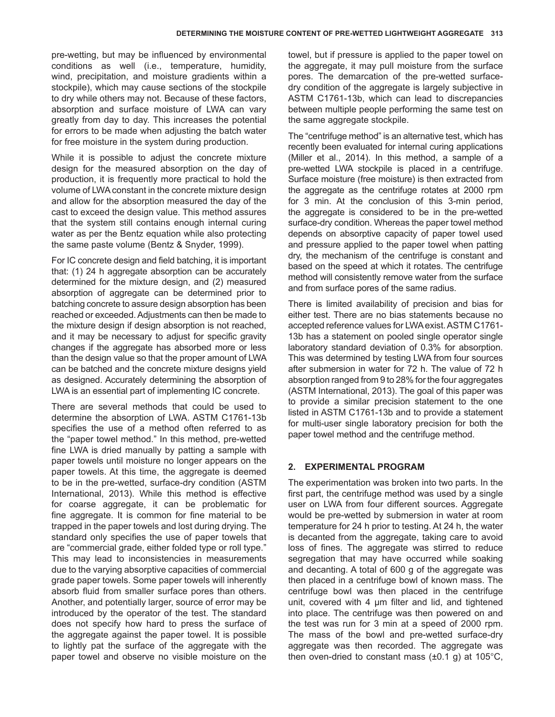pre-wetting, but may be influenced by environmental conditions as well (i.e., temperature, humidity, wind, precipitation, and moisture gradients within a stockpile), which may cause sections of the stockpile to dry while others may not. Because of these factors, absorption and surface moisture of LWA can vary greatly from day to day. This increases the potential for errors to be made when adjusting the batch water for free moisture in the system during production.

While it is possible to adjust the concrete mixture design for the measured absorption on the day of production, it is frequently more practical to hold the volume of LWA constant in the concrete mixture design and allow for the absorption measured the day of the cast to exceed the design value. This method assures that the system still contains enough internal curing water as per the Bentz equation while also protecting the same paste volume (Bentz & Snyder, 1999).

For IC concrete design and field batching, it is important that: (1) 24 h aggregate absorption can be accurately determined for the mixture design, and (2) measured absorption of aggregate can be determined prior to batching concrete to assure design absorption has been reached or exceeded. Adjustments can then be made to the mixture design if design absorption is not reached, and it may be necessary to adjust for specific gravity changes if the aggregate has absorbed more or less than the design value so that the proper amount of LWA can be batched and the concrete mixture designs yield as designed. Accurately determining the absorption of LWA is an essential part of implementing IC concrete.

There are several methods that could be used to determine the absorption of LWA. ASTM C1761-13b specifies the use of a method often referred to as the "paper towel method." In this method, pre-wetted fine LWA is dried manually by patting a sample with paper towels until moisture no longer appears on the paper towels. At this time, the aggregate is deemed to be in the pre-wetted, surface-dry condition (ASTM International, 2013). While this method is effective for coarse aggregate, it can be problematic for fine aggregate. It is common for fine material to be trapped in the paper towels and lost during drying. The standard only specifies the use of paper towels that are "commercial grade, either folded type or roll type." This may lead to inconsistencies in measurements due to the varying absorptive capacities of commercial grade paper towels. Some paper towels will inherently absorb fluid from smaller surface pores than others. Another, and potentially larger, source of error may be introduced by the operator of the test. The standard does not specify how hard to press the surface of the aggregate against the paper towel. It is possible to lightly pat the surface of the aggregate with the paper towel and observe no visible moisture on the

towel, but if pressure is applied to the paper towel on the aggregate, it may pull moisture from the surface pores. The demarcation of the pre-wetted surfacedry condition of the aggregate is largely subjective in ASTM C1761-13b, which can lead to discrepancies between multiple people performing the same test on the same aggregate stockpile.

The "centrifuge method" is an alternative test, which has recently been evaluated for internal curing applications (Miller et al., 2014). In this method, a sample of a pre-wetted LWA stockpile is placed in a centrifuge. Surface moisture (free moisture) is then extracted from the aggregate as the centrifuge rotates at 2000 rpm for 3 min. At the conclusion of this 3-min period, the aggregate is considered to be in the pre-wetted surface-dry condition. Whereas the paper towel method depends on absorptive capacity of paper towel used and pressure applied to the paper towel when patting dry, the mechanism of the centrifuge is constant and based on the speed at which it rotates. The centrifuge method will consistently remove water from the surface and from surface pores of the same radius.

There is limited availability of precision and bias for either test. There are no bias statements because no accepted reference values for LWA exist. ASTM C1761- 13b has a statement on pooled single operator single laboratory standard deviation of 0.3% for absorption. This was determined by testing LWA from four sources after submersion in water for 72 h. The value of 72 h absorption ranged from 9 to 28% for the four aggregates (ASTM International, 2013). The goal of this paper was to provide a similar precision statement to the one listed in ASTM C1761-13b and to provide a statement for multi-user single laboratory precision for both the paper towel method and the centrifuge method.

## **2. EXPERIMENTAL PROGRAM**

The experimentation was broken into two parts. In the first part, the centrifuge method was used by a single user on LWA from four different sources. Aggregate would be pre-wetted by submersion in water at room temperature for 24 h prior to testing. At 24 h, the water is decanted from the aggregate, taking care to avoid loss of fines. The aggregate was stirred to reduce segregation that may have occurred while soaking and decanting. A total of 600 g of the aggregate was then placed in a centrifuge bowl of known mass. The centrifuge bowl was then placed in the centrifuge unit, covered with 4 um filter and lid, and tightened into place. The centrifuge was then powered on and the test was run for 3 min at a speed of 2000 rpm. The mass of the bowl and pre-wetted surface-dry aggregate was then recorded. The aggregate was then oven-dried to constant mass  $(\pm 0.1 \text{ g})$  at 105°C,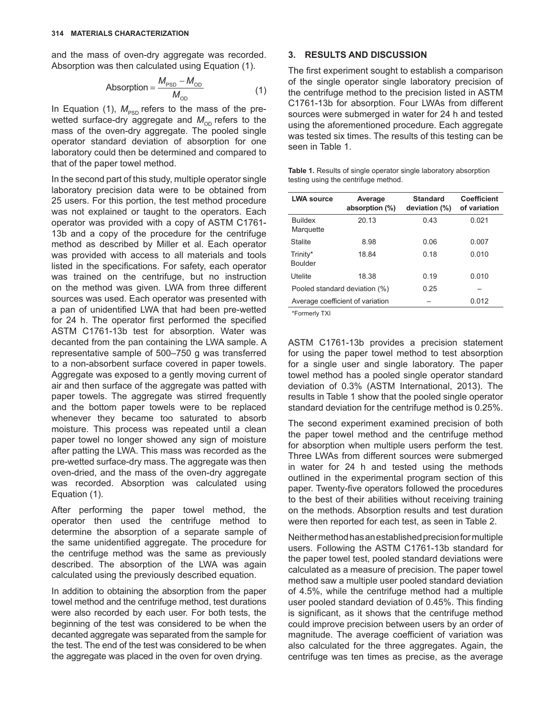and the mass of oven-dry aggregate was recorded. Absorption was then calculated using Equation (1).

$$
Absorption = \frac{M_{PSD} - M_{OD}}{M_{OD}}
$$
 (1)

In Equation (1),  $M_{PSD}$  refers to the mass of the prewetted surface-dry aggregate and  $M_{OD}$  refers to the mass of the oven-dry aggregate. The pooled single operator standard deviation of absorption for one laboratory could then be determined and compared to that of the paper towel method.

In the second part of this study, multiple operator single laboratory precision data were to be obtained from 25 users. For this portion, the test method procedure was not explained or taught to the operators. Each operator was provided with a copy of ASTM C1761- 13b and a copy of the procedure for the centrifuge method as described by Miller et al. Each operator was provided with access to all materials and tools listed in the specifications. For safety, each operator was trained on the centrifuge, but no instruction on the method was given. LWA from three different sources was used. Each operator was presented with a pan of unidentified LWA that had been pre-wetted for 24 h. The operator first performed the specified ASTM C1761-13b test for absorption. Water was decanted from the pan containing the LWA sample. A representative sample of 500–750 g was transferred to a non-absorbent surface covered in paper towels. Aggregate was exposed to a gently moving current of air and then surface of the aggregate was patted with paper towels. The aggregate was stirred frequently and the bottom paper towels were to be replaced whenever they became too saturated to absorb moisture. This process was repeated until a clean paper towel no longer showed any sign of moisture after patting the LWA. This mass was recorded as the pre-wetted surface-dry mass. The aggregate was then oven-dried, and the mass of the oven-dry aggregate was recorded. Absorption was calculated using Equation (1).

After performing the paper towel method, the operator then used the centrifuge method to determine the absorption of a separate sample of the same unidentified aggregate. The procedure for the centrifuge method was the same as previously described. The absorption of the LWA was again calculated using the previously described equation.

In addition to obtaining the absorption from the paper towel method and the centrifuge method, test durations were also recorded by each user. For both tests, the beginning of the test was considered to be when the decanted aggregate was separated from the sample for the test. The end of the test was considered to be when the aggregate was placed in the oven for oven drying.

#### **3. RESULTS AND DISCUSSION**

The first experiment sought to establish a comparison of the single operator single laboratory precision of the centrifuge method to the precision listed in ASTM C1761-13b for absorption. Four LWAs from different sources were submerged in water for 24 h and tested using the aforementioned procedure. Each aggregate was tested six times. The results of this testing can be seen in Table 1.

**Table 1.** Results of single operator single laboratory absorption testing using the centrifuge method.

| <b>LWA source</b>                | Average<br>absorption (%) | <b>Standard</b><br>deviation (%) | <b>Coefficient</b><br>of variation |
|----------------------------------|---------------------------|----------------------------------|------------------------------------|
| <b>Buildex</b><br>Marquette      | 20.13                     | 0.43                             | 0.021                              |
| <b>Stalite</b>                   | 8.98                      | 0.06                             | 0.007                              |
| Trinity*<br>Boulder              | 18.84                     | 0.18                             | 0.010                              |
| Utelite                          | 18.38                     | 0.19                             | 0.010                              |
| Pooled standard deviation (%)    |                           | 0.25                             |                                    |
| Average coefficient of variation |                           |                                  | 0.012                              |

\*Formerly TXI

ASTM C1761-13b provides a precision statement for using the paper towel method to test absorption for a single user and single laboratory. The paper towel method has a pooled single operator standard deviation of 0.3% (ASTM International, 2013). The results in Table 1 show that the pooled single operator standard deviation for the centrifuge method is 0.25%.

The second experiment examined precision of both the paper towel method and the centrifuge method for absorption when multiple users perform the test. Three LWAs from different sources were submerged in water for 24 h and tested using the methods outlined in the experimental program section of this paper. Twenty-five operators followed the procedures to the best of their abilities without receiving training on the methods. Absorption results and test duration were then reported for each test, as seen in Table 2.

Neither method has an established precision for multiple users. Following the ASTM C1761-13b standard for the paper towel test, pooled standard deviations were calculated as a measure of precision. The paper towel method saw a multiple user pooled standard deviation of 4.5%, while the centrifuge method had a multiple user pooled standard deviation of 0.45%. This finding is significant, as it shows that the centrifuge method could improve precision between users by an order of magnitude. The average coefficient of variation was also calculated for the three aggregates. Again, the centrifuge was ten times as precise, as the average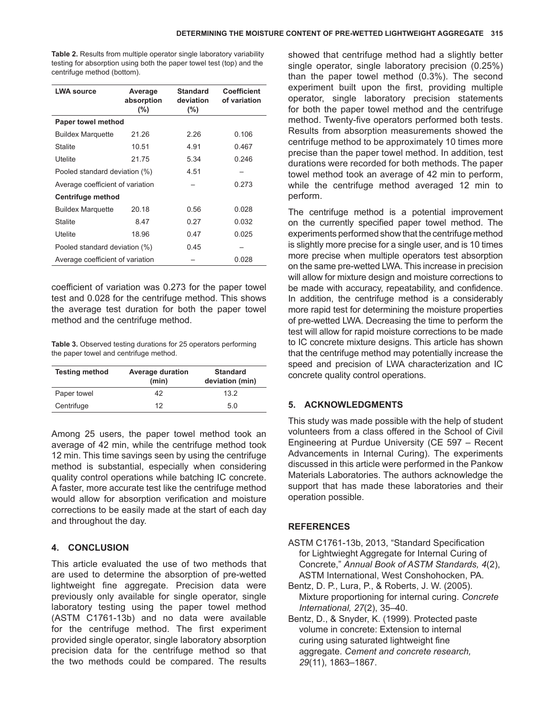**Table 2.** Results from multiple operator single laboratory variability testing for absorption using both the paper towel test (top) and the centrifuge method (bottom).

| <b>LWA source</b>                | Average<br>absorption<br>$(\% )$ | <b>Standard</b><br>deviation<br>(%) | <b>Coefficient</b><br>of variation |  |  |
|----------------------------------|----------------------------------|-------------------------------------|------------------------------------|--|--|
| Paper towel method               |                                  |                                     |                                    |  |  |
| <b>Buildex Marguette</b>         | 21.26                            | 2.26                                | 0.106                              |  |  |
| <b>Stalite</b>                   | 10.51                            | 4.91                                | 0.467                              |  |  |
| Utelite                          | 21.75                            | 5.34                                | 0.246                              |  |  |
| Pooled standard deviation (%)    |                                  | 4.51                                |                                    |  |  |
| Average coefficient of variation |                                  |                                     | 0.273                              |  |  |
| Centrifuge method                |                                  |                                     |                                    |  |  |
| <b>Buildex Marguette</b>         | 20.18                            | 0.56                                | 0.028                              |  |  |
| <b>Stalite</b>                   | 8.47                             | 0.27                                | 0.032                              |  |  |
| Utelite                          | 18.96                            | 0.47                                | 0.025                              |  |  |
| Pooled standard deviation (%)    |                                  | 0.45                                |                                    |  |  |
| Average coefficient of variation |                                  |                                     | 0.028                              |  |  |

coefficient of variation was 0.273 for the paper towel test and 0.028 for the centrifuge method. This shows the average test duration for both the paper towel method and the centrifuge method.

**Table 3.** Observed testing durations for 25 operators performing the paper towel and centrifuge method.

| <b>Testing method</b> | <b>Average duration</b><br>(min) | <b>Standard</b><br>deviation (min) |
|-----------------------|----------------------------------|------------------------------------|
| Paper towel           | 42                               | 132                                |
| Centrifuge            | 12                               | 5.0                                |

Among 25 users, the paper towel method took an average of 42 min, while the centrifuge method took 12 min. This time savings seen by using the centrifuge method is substantial, especially when considering quality control operations while batching IC concrete. A faster, more accurate test like the centrifuge method would allow for absorption verification and moisture corrections to be easily made at the start of each day and throughout the day.

## **4. CONCLUSION**

This article evaluated the use of two methods that are used to determine the absorption of pre-wetted lightweight fine aggregate. Precision data were previously only available for single operator, single laboratory testing using the paper towel method (ASTM C1761-13b) and no data were available for the centrifuge method. The first experiment provided single operator, single laboratory absorption precision data for the centrifuge method so that the two methods could be compared. The results

showed that centrifuge method had a slightly better single operator, single laboratory precision (0.25%) than the paper towel method (0.3%). The second experiment built upon the first, providing multiple operator, single laboratory precision statements for both the paper towel method and the centrifuge method. Twenty-five operators performed both tests. Results from absorption measurements showed the centrifuge method to be approximately 10 times more precise than the paper towel method. In addition, test durations were recorded for both methods. The paper towel method took an average of 42 min to perform, while the centrifuge method averaged 12 min to perform.

The centrifuge method is a potential improvement on the currently specified paper towel method. The experiments performed show that the centrifuge method is slightly more precise for a single user, and is 10 times more precise when multiple operators test absorption on the same pre-wetted LWA. This increase in precision will allow for mixture design and moisture corrections to be made with accuracy, repeatability, and confidence. In addition, the centrifuge method is a considerably more rapid test for determining the moisture properties of pre-wetted LWA. Decreasing the time to perform the test will allow for rapid moisture corrections to be made to IC concrete mixture designs. This article has shown that the centrifuge method may potentially increase the speed and precision of LWA characterization and IC concrete quality control operations.

## **5. Acknowledgments**

This study was made possible with the help of student volunteers from a class offered in the School of Civil Engineering at Purdue University (CE 597 – Recent Advancements in Internal Curing). The experiments discussed in this article were performed in the Pankow Materials Laboratories. The authors acknowledge the support that has made these laboratories and their operation possible.

## **REFERENCES**

- ASTM C1761-13b, 2013, "Standard Specification for Lightwieght Aggregate for Internal Curing of Concrete," *Annual Book of ASTM Standards, 4*(2), ASTM International, West Conshohocken, PA.
- Bentz, D. P., Lura, P., & Roberts, J. W. (2005). Mixture proportioning for internal curing. *Concrete International, 27*(2), 35–40.
- Bentz, D., & Snyder, K. (1999). Protected paste volume in concrete: Extension to internal curing using saturated lightweight fine aggregate. *Cement and concrete research, 29*(11), 1863–1867.